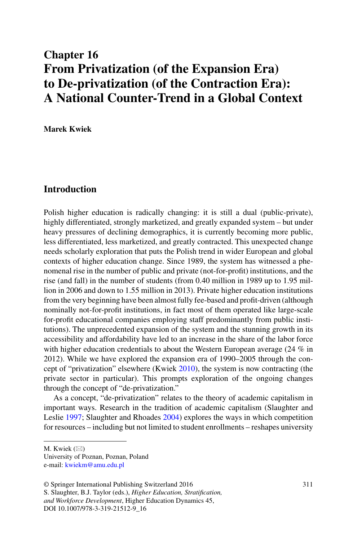# **Chapter 16 From Privatization (of the Expansion Era) to De-privatization (of the Contraction Era): A National Counter-Trend in a Global Context**

 **Marek Kwiek** 

### **Introduction**

 Polish higher education is radically changing: it is still a dual (public-private), highly differentiated, strongly marketized, and greatly expanded system – but under heavy pressures of declining demographics, it is currently becoming more public, less differentiated, less marketized, and greatly contracted. This unexpected change needs scholarly exploration that puts the Polish trend in wider European and global contexts of higher education change. Since 1989, the system has witnessed a phenomenal rise in the number of public and private (not-for-profit) institutions, and the rise (and fall) in the number of students (from 0.40 million in 1989 up to 1.95 million in 2006 and down to 1.55 million in 2013). Private higher education institutions from the very beginning have been almost fully fee-based and profit-driven (although nominally not-for-profit institutions, in fact most of them operated like large-scale for-profi t educational companies employing staff predominantly from public institutions). The unprecedented expansion of the system and the stunning growth in its accessibility and affordability have led to an increase in the share of the labor force with higher education credentials to about the Western European average (24 % in 2012). While we have explored the expansion era of 1990–2005 through the concept of "privatization" elsewhere (Kwiek  $2010$ ), the system is now contracting (the private sector in particular). This prompts exploration of the ongoing changes through the concept of "de-privatization."

 As a concept, "de-privatization" relates to the theory of academic capitalism in important ways. Research in the tradition of academic capitalism (Slaughter and Leslie 1997; Slaughter and Rhoades 2004) explores the ways in which competition for resources – including but not limited to student enrollments – reshapes university

M. Kwiek  $(\boxtimes)$ 

University of Poznan, Poznan, Poland e-mail: [kwiekm@amu.edu.pl](mailto:kwiekm@amu.edu.pl)

<sup>©</sup> Springer International Publishing Switzerland 2016 311

S. Slaughter, B.J. Taylor (eds.), *Higher Education, Stratification, and Workforce Development*, Higher Education Dynamics 45, DOI 10.1007/978-3-319-21512-9\_16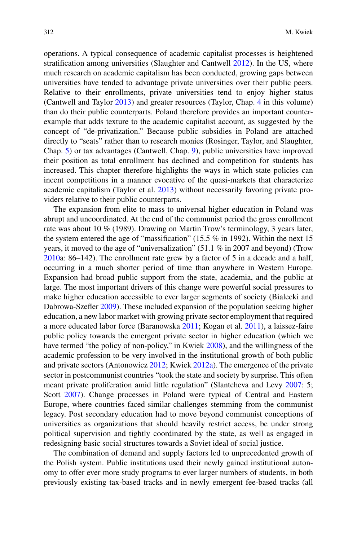operations. A typical consequence of academic capitalist processes is heightened stratification among universities (Slaughter and Cantwell 2012). In the US, where much research on academic capitalism has been conducted, growing gaps between universities have tended to advantage private universities over their public peers. Relative to their enrollments, private universities tend to enjoy higher status (Cantwell and Taylor 2013 ) and greater resources (Taylor, Chap. [4](http://dx.doi.org/10.1007/978-3-319-21512-9_4) in this volume) than do their public counterparts. Poland therefore provides an important counterexample that adds texture to the academic capitalist account, as suggested by the concept of "de-privatization." Because public subsidies in Poland are attached directly to "seats" rather than to research monies (Rosinger, Taylor, and Slaughter, Chap. [5](http://dx.doi.org/10.1007/978-3-319-21512-9_5)) or tax advantages (Cantwell, Chap. [9](http://dx.doi.org/10.1007/978-3-319-21512-9_9)), public universities have improved their position as total enrollment has declined and competition for students has increased. This chapter therefore highlights the ways in which state policies can incent competitions in a manner evocative of the quasi-markets that characterize academic capitalism (Taylor et al. 2013 ) without necessarily favoring private providers relative to their public counterparts.

 The expansion from elite to mass to universal higher education in Poland was abrupt and uncoordinated. At the end of the communist period the gross enrollment rate was about 10 % (1989). Drawing on Martin Trow's terminology, 3 years later, the system entered the age of "massification" (15.5  $\%$  in 1992). Within the next 15 years, it moved to the age of "universalization" (51.1 % in 2007 and beyond) (Trow  $2010a$ : 86–142). The enrollment rate grew by a factor of 5 in a decade and a half, occurring in a much shorter period of time than anywhere in Western Europe. Expansion had broad public support from the state, academia, and the public at large. The most important drivers of this change were powerful social pressures to make higher education accessible to ever larger segments of society (Bialecki and Dabrowa-Szefler 2009). These included expansion of the population seeking higher education, a new labor market with growing private sector employment that required a more educated labor force (Baranowska 2011 ; Kogan et al. 2011 ), a laissez-faire public policy towards the emergent private sector in higher education (which we have termed "the policy of non-policy," in Kwiek 2008), and the willingness of the academic profession to be very involved in the institutional growth of both public and private sectors (Antonowicz 2012; Kwiek 2012a). The emergence of the private sector in postcommunist countries "took the state and society by surprise. This often meant private proliferation amid little regulation" (Slantcheva and Levy 2007: 5; Scott 2007). Change processes in Poland were typical of Central and Eastern Europe, where countries faced similar challenges stemming from the communist legacy. Post secondary education had to move beyond communist conceptions of universities as organizations that should heavily restrict access, be under strong political supervision and tightly coordinated by the state, as well as engaged in redesigning basic social structures towards a Soviet ideal of social justice.

 The combination of demand and supply factors led to unprecedented growth of the Polish system. Public institutions used their newly gained institutional autonomy to offer ever more study programs to ever larger numbers of students, in both previously existing tax-based tracks and in newly emergent fee-based tracks (all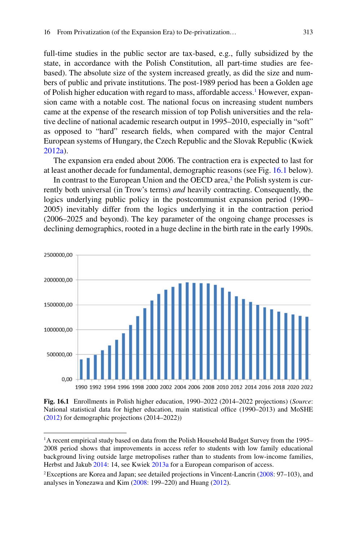full-time studies in the public sector are tax-based, e.g., fully subsidized by the state, in accordance with the Polish Constitution, all part-time studies are feebased). The absolute size of the system increased greatly, as did the size and numbers of public and private institutions. The post-1989 period has been a Golden age of Polish higher education with regard to mass, affordable access.<sup>1</sup> However, expansion came with a notable cost. The national focus on increasing student numbers came at the expense of the research mission of top Polish universities and the relative decline of national academic research output in 1995–2010, especially in "soft" as opposed to "hard" research fields, when compared with the major Central European systems of Hungary, the Czech Republic and the Slovak Republic (Kwiek  $2012a$ .

 The expansion era ended about 2006. The contraction era is expected to last for at least another decade for fundamental, demographic reasons (see Fig. 16.1 below).

In contrast to the European Union and the OECD area, $<sup>2</sup>$  the Polish system is cur-</sup> rently both universal (in Trow's terms) *and* heavily contracting. Consequently, the logics underlying public policy in the postcommunist expansion period (1990– 2005) inevitably differ from the logics underlying it in the contraction period (2006–2025 and beyond). The key parameter of the ongoing change processes is declining demographics, rooted in a huge decline in the birth rate in the early 1990s.



**Fig. 16.1** Enrollments in Polish higher education, 1990–2022 (2014–2022 projections) (*Source*: National statistical data for higher education, main statistical office (1990–2013) and MoSHE ( 2012 ) for demographic projections (2014–2022))

<sup>&</sup>lt;sup>1</sup>A recent empirical study based on data from the Polish Household Budget Survey from the 1995– 2008 period shows that improvements in access refer to students with low family educational background living outside large metropolises rather than to students from low-income families, Herbst and Jakub 2014: 14, see Kwiek 2013a for a European comparison of access.

<sup>&</sup>lt;sup>2</sup> Exceptions are Korea and Japan; see detailed projections in Vincent-Lancrin  $(2008: 97-103)$ , and analyses in Yonezawa and Kim  $(2008: 199-220)$  and Huang  $(2012)$ .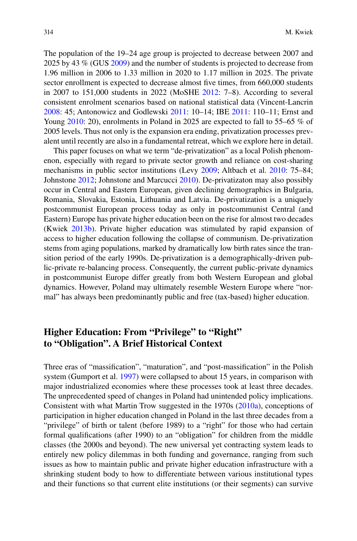The population of the 19–24 age group is projected to decrease between 2007 and 2025 by 43 % (GUS 2009 ) and the number of students is projected to decrease from 1.96 million in 2006 to 1.33 million in 2020 to 1.17 million in 2025. The private sector enrollment is expected to decrease almost five times, from 660,000 students in 2007 to 151,000 students in 2022 (MoSHE 2012 : 7–8). According to several consistent enrolment scenarios based on national statistical data (Vincent-Lancrin 2008 : 45; Antonowicz and Godlewski 2011 : 10–14; IBE 2011 : 110–11; Ernst and Young  $2010$ : 20), enrolments in Poland in 2025 are expected to fall to 55–65 % of 2005 levels. Thus not only is the expansion era ending, privatization processes prevalent until recently are also in a fundamental retreat, which we explore here in detail.

 This paper focuses on what we term "de-privatization" as a local Polish phenomenon, especially with regard to private sector growth and reliance on cost-sharing mechanisms in public sector institutions (Levy 2009; Altbach et al. 2010: 75–84; Johnstone 2012; Johnstone and Marcucci 2010). De-privatizaton may also possibly occur in Central and Eastern European, given declining demographics in Bulgaria, Romania, Slovakia, Estonia, Lithuania and Latvia. De-privatization is a uniquely postcommunist European process today as only in postcommunist Central (and Eastern) Europe has private higher education been on the rise for almost two decades (Kwiek  $2013b$ ). Private higher education was stimulated by rapid expansion of access to higher education following the collapse of communism. De-privatization stems from aging populations, marked by dramatically low birth rates since the transition period of the early 1990s. De-privatization is a demographically-driven public-private re-balancing process. Consequently, the current public-private dynamics in postcommunist Europe differ greatly from both Western European and global dynamics. However, Poland may ultimately resemble Western Europe where "normal" has always been predominantly public and free (tax-based) higher education.

# **Higher Education: From "Privilege" to "Right" to "Obligation". A Brief Historical Context**

Three eras of "massification", "maturation", and "post-massification" in the Polish system (Gumport et al. 1997) were collapsed to about 15 years, in comparison with major industrialized economies where these processes took at least three decades. The unprecedented speed of changes in Poland had unintended policy implications. Consistent with what Martin Trow suggested in the  $1970s$  ( $2010a$ ), conceptions of participation in higher education changed in Poland in the last three decades from a "privilege" of birth or talent (before 1989) to a "right" for those who had certain formal qualifications (after 1990) to an "obligation" for children from the middle classes (the 2000s and beyond). The new universal yet contracting system leads to entirely new policy dilemmas in both funding and governance, ranging from such issues as how to maintain public and private higher education infrastructure with a shrinking student body to how to differentiate between various institutional types and their functions so that current elite institutions (or their segments) can survive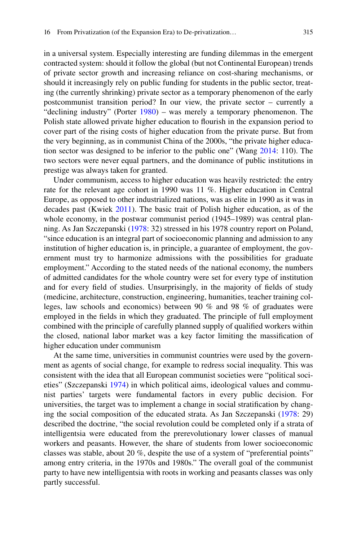in a universal system. Especially interesting are funding dilemmas in the emergent contracted system: should it follow the global (but not Continental European) trends of private sector growth and increasing reliance on cost-sharing mechanisms, or should it increasingly rely on public funding for students in the public sector, treating (the currently shrinking) private sector as a temporary phenomenon of the early postcommunist transition period? In our view, the private sector – currently a "declining industry" (Porter  $1980$ ) – was merely a temporary phenomenon. The Polish state allowed private higher education to flourish in the expansion period to cover part of the rising costs of higher education from the private purse. But from the very beginning, as in communist China of the 2000s, "the private higher education sector was designed to be inferior to the public one" (Wang 2014: 110). The two sectors were never equal partners, and the dominance of public institutions in prestige was always taken for granted.

 Under communism, access to higher education was heavily restricted: the entry rate for the relevant age cohort in 1990 was 11 %. Higher education in Central Europe, as opposed to other industrialized nations, was as elite in 1990 as it was in decades past (Kwiek  $2011$ ). The basic trait of Polish higher education, as of the whole economy, in the postwar communist period (1945–1989) was central planning. As Jan Szczepanski (1978: 32) stressed in his 1978 country report on Poland, "since education is an integral part of socioeconomic planning and admission to any institution of higher education is, in principle, a guarantee of employment, the government must try to harmonize admissions with the possibilities for graduate employment." According to the stated needs of the national economy, the numbers of admitted candidates for the whole country were set for every type of institution and for every field of studies. Unsurprisingly, in the majority of fields of study (medicine, architecture, construction, engineering, humanities, teacher training colleges, law schools and economics) between 90 % and 98 % of graduates were employed in the fields in which they graduated. The principle of full employment combined with the principle of carefully planned supply of qualified workers within the closed, national labor market was a key factor limiting the massification of higher education under communism

 At the same time, universities in communist countries were used by the government as agents of social change, for example to redress social inequality. This was consistent with the idea that all European communist societies were "political societies" (Szczepanski 1974) in which political aims, ideological values and communist parties' targets were fundamental factors in every public decision. For universities, the target was to implement a change in social stratification by changing the social composition of the educated strata. As Jan Szczepanski (1978: 29) described the doctrine, "the social revolution could be completed only if a strata of intelligentsia were educated from the prerevolutionary lower classes of manual workers and peasants. However, the share of students from lower socioeconomic classes was stable, about 20 %, despite the use of a system of "preferential points" among entry criteria, in the 1970s and 1980s." The overall goal of the communist party to have new intelligentsia with roots in working and peasants classes was only partly successful.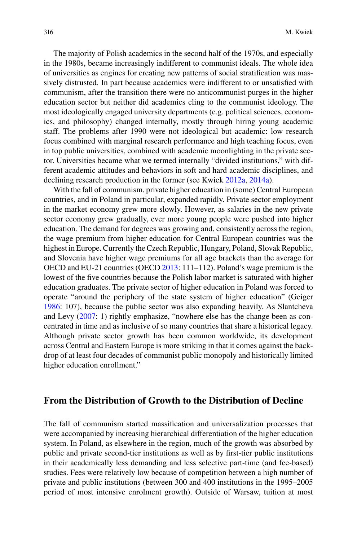The majority of Polish academics in the second half of the 1970s, and especially in the 1980s, became increasingly indifferent to communist ideals. The whole idea of universities as engines for creating new patterns of social stratification was massively distrusted. In part because academics were indifferent to or unsatisfied with communism, after the transition there were no anticommunist purges in the higher education sector but neither did academics cling to the communist ideology. The most ideologically engaged university departments (e.g. political sciences, economics, and philosophy) changed internally, mostly through hiring young academic staff. The problems after 1990 were not ideological but academic: low research focus combined with marginal research performance and high teaching focus, even in top public universities, combined with academic moonlighting in the private sector. Universities became what we termed internally "divided institutions," with different academic attitudes and behaviors in soft and hard academic disciplines, and declining research production in the former (see Kwiek 2012a, 2014a).

 With the fall of communism, private higher education in (some) Central European countries, and in Poland in particular, expanded rapidly. Private sector employment in the market economy grew more slowly. However, as salaries in the new private sector economy grew gradually, ever more young people were pushed into higher education. The demand for degrees was growing and, consistently across the region, the wage premium from higher education for Central European countries was the highest in Europe. Currently the Czech Republic, Hungary, Poland, Slovak Republic, and Slovenia have higher wage premiums for all age brackets than the average for OECD and EU-21 countries (OECD 2013 : 111–112). Poland's wage premium is the lowest of the five countries because the Polish labor market is saturated with higher education graduates. The private sector of higher education in Poland was forced to operate "around the periphery of the state system of higher education" (Geiger 1986: 107), because the public sector was also expanding heavily. As Slantcheva and Levy  $(2007: 1)$  rightly emphasize, "nowhere else has the change been as concentrated in time and as inclusive of so many countries that share a historical legacy. Although private sector growth has been common worldwide, its development across Central and Eastern Europe is more striking in that it comes against the backdrop of at least four decades of communist public monopoly and historically limited higher education enrollment."

## **From the Distribution of Growth to the Distribution of Decline**

The fall of communism started massification and universalization processes that were accompanied by increasing hierarchical differentiation of the higher education system. In Poland, as elsewhere in the region, much of the growth was absorbed by public and private second-tier institutions as well as by first-tier public institutions in their academically less demanding and less selective part-time (and fee-based) studies. Fees were relatively low because of competition between a high number of private and public institutions (between 300 and 400 institutions in the 1995–2005 period of most intensive enrolment growth). Outside of Warsaw, tuition at most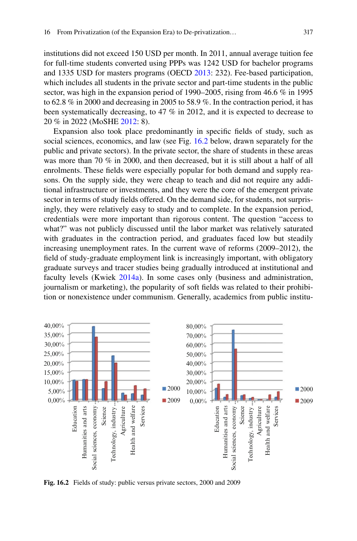institutions did not exceed 150 USD per month. In 2011, annual average tuition fee for full-time students converted using PPPs was 1242 USD for bachelor programs and 1335 USD for masters programs (OECD 2013 : 232). Fee-based participation, which includes all students in the private sector and part-time students in the public sector, was high in the expansion period of 1990–2005, rising from 46.6  $\%$  in 1995 to 62.8 % in 2000 and decreasing in 2005 to 58.9 %. In the contraction period, it has been systematically decreasing, to 47 % in 2012, and it is expected to decrease to 20 % in 2022 (MoSHE 2012: 8).

Expansion also took place predominantly in specific fields of study, such as social sciences, economics, and law (see Fig. 16.2 below, drawn separately for the public and private sectors). In the private sector, the share of students in these areas was more than 70 % in 2000, and then decreased, but it is still about a half of all enrolments. These fields were especially popular for both demand and supply reasons. On the supply side, they were cheap to teach and did not require any additional infrastructure or investments, and they were the core of the emergent private sector in terms of study fields offered. On the demand side, for students, not surprisingly, they were relatively easy to study and to complete. In the expansion period, credentials were more important than rigorous content. The question "access to what?" was not publicly discussed until the labor market was relatively saturated with graduates in the contraction period, and graduates faced low but steadily increasing unemployment rates. In the current wave of reforms (2009–2012), the field of study-graduate employment link is increasingly important, with obligatory graduate surveys and tracer studies being gradually introduced at institutional and faculty levels (Kwiek  $2014a$ ). In some cases only (business and administration, journalism or marketing), the popularity of soft fields was related to their prohibition or nonexistence under communism. Generally, academics from public institu-



 **Fig. 16.2** Fields of study: public versus private sectors, 2000 and 2009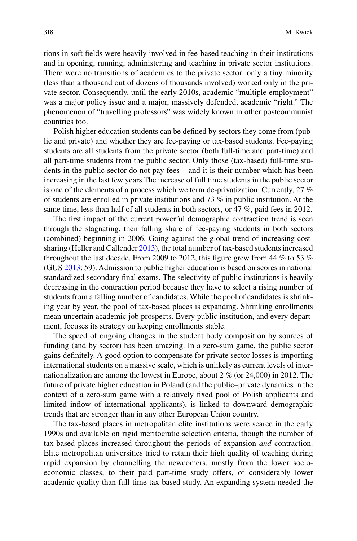tions in soft fields were heavily involved in fee-based teaching in their institutions and in opening, running, administering and teaching in private sector institutions. There were no transitions of academics to the private sector: only a tiny minority (less than a thousand out of dozens of thousands involved) worked only in the private sector. Consequently, until the early 2010s, academic "multiple employment" was a major policy issue and a major, massively defended, academic "right." The phenomenon of "travelling professors" was widely known in other postcommunist countries too.

Polish higher education students can be defined by sectors they come from (public and private) and whether they are fee-paying or tax-based students. Fee-paying students are all students from the private sector (both full-time and part-time) and all part-time students from the public sector. Only those (tax-based) full-time students in the public sector do not pay fees – and it is their number which has been increasing in the last few years The increase of full time students in the public sector is one of the elements of a process which we term de-privatization. Currently, 27 % of students are enrolled in private institutions and 73 % in public institution. At the same time, less than half of all students in both sectors, or 47 %, paid fees in 2012.

The first impact of the current powerful demographic contraction trend is seen through the stagnating, then falling share of fee-paying students in both sectors (combined) beginning in 2006. Going against the global trend of increasing costsharing (Heller and Callender 2013), the total number of tax-based students increased throughout the last decade. From 2009 to 2012, this figure grew from 44  $\%$  to 53  $\%$ (GUS 2013 : 59). Admission to public higher education is based on scores in national standardized secondary final exams. The selectivity of public institutions is heavily decreasing in the contraction period because they have to select a rising number of students from a falling number of candidates. While the pool of candidates is shrinking year by year, the pool of tax-based places is expanding. Shrinking enrollments mean uncertain academic job prospects. Every public institution, and every department, focuses its strategy on keeping enrollments stable.

 The speed of ongoing changes in the student body composition by sources of funding (and by sector) has been amazing. In a zero-sum game, the public sector gains definitely. A good option to compensate for private sector losses is importing international students on a massive scale, which is unlikely as current levels of internationalization are among the lowest in Europe, about 2 % (or 24,000) in 2012. The future of private higher education in Poland (and the public–private dynamics in the context of a zero-sum game with a relatively fixed pool of Polish applicants and limited inflow of international applicants), is linked to downward demographic trends that are stronger than in any other European Union country.

 The tax-based places in metropolitan elite institutions were scarce in the early 1990s and available on rigid meritocratic selection criteria, though the number of tax-based places increased throughout the periods of expansion *and* contraction. Elite metropolitan universities tried to retain their high quality of teaching during rapid expansion by channelling the newcomers, mostly from the lower socioeconomic classes, to their paid part-time study offers, of considerably lower academic quality than full-time tax-based study. An expanding system needed the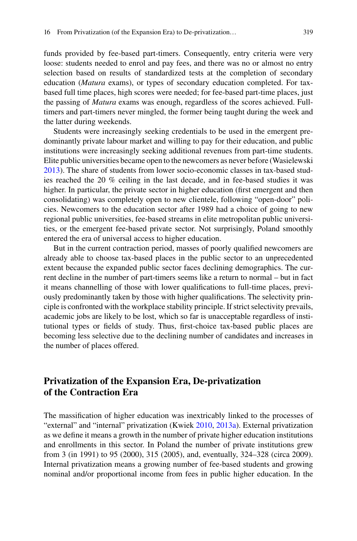funds provided by fee-based part-timers. Consequently, entry criteria were very loose: students needed to enrol and pay fees, and there was no or almost no entry selection based on results of standardized tests at the completion of secondary education (Matura exams), or types of secondary education completed. For taxbased full time places, high scores were needed; for fee-based part-time places, just the passing of *Matura* exams was enough, regardless of the scores achieved. Fulltimers and part-timers never mingled, the former being taught during the week and the latter during weekends.

 Students were increasingly seeking credentials to be used in the emergent predominantly private labour market and willing to pay for their education, and public institutions were increasingly seeking additional revenues from part-time students. Elite public universities became open to the newcomers as never before (Wasielewski 2013 ). The share of students from lower socio-economic classes in tax-based studies reached the 20 % ceiling in the last decade, and in fee-based studies it was higher. In particular, the private sector in higher education (first emergent and then consolidating) was completely open to new clientele, following "open-door" policies. Newcomers to the education sector after 1989 had a choice of going to new regional public universities, fee-based streams in elite metropolitan public universities, or the emergent fee-based private sector. Not surprisingly, Poland smoothly entered the era of universal access to higher education.

But in the current contraction period, masses of poorly qualified newcomers are already able to choose tax-based places in the public sector to an unprecedented extent because the expanded public sector faces declining demographics. The current decline in the number of part-timers seems like a return to normal – but in fact it means channelling of those with lower qualifications to full-time places, previously predominantly taken by those with higher qualifications. The selectivity principle is confronted with the workplace stability principle. If strict selectivity prevails, academic jobs are likely to be lost, which so far is unacceptable regardless of institutional types or fields of study. Thus, first-choice tax-based public places are becoming less selective due to the declining number of candidates and increases in the number of places offered.

## **Privatization of the Expansion Era, De-privatization of the Contraction Era**

The massification of higher education was inextricably linked to the processes of "external" and "internal" privatization (Kwiek 2010, 2013a). External privatization as we define it means a growth in the number of private higher education institutions and enrollments in this sector. In Poland the number of private institutions grew from 3 (in 1991) to 95 (2000), 315 (2005), and, eventually, 324–328 (circa 2009). Internal privatization means a growing number of fee-based students and growing nominal and/or proportional income from fees in public higher education. In the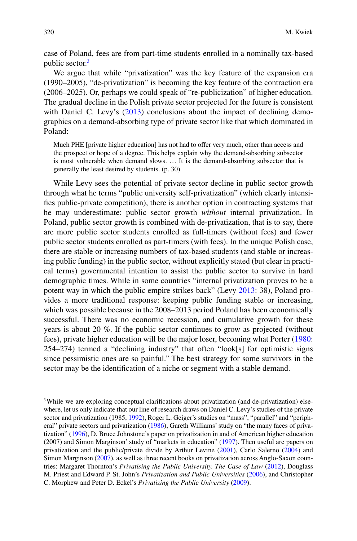case of Poland, fees are from part-time students enrolled in a nominally tax-based public sector.<sup>3</sup>

 We argue that while "privatization" was the key feature of the expansion era (1990–2005), "de-privatization" is becoming the key feature of the contraction era (2006–2025). Or, perhaps we could speak of "re-publicization" of higher education. The gradual decline in the Polish private sector projected for the future is consistent with Daniel C. Levy's  $(2013)$  conclusions about the impact of declining demographics on a demand-absorbing type of private sector like that which dominated in Poland:

 Much PHE [private higher education] has not had to offer very much, other than access and the prospect or hope of a degree. This helps explain why the demand-absorbing subsector is most vulnerable when demand slows. … It is the demand-absorbing subsector that is generally the least desired by students. (p. 30)

 While Levy sees the potential of private sector decline in public sector growth through what he terms "public university self-privatization" (which clearly intensifies public-private competition), there is another option in contracting systems that he may underestimate: public sector growth *without* internal privatization. In Poland, public sector growth is combined with de-privatization, that is to say, there are more public sector students enrolled as full-timers (without fees) and fewer public sector students enrolled as part-timers (with fees). In the unique Polish case, there are stable or increasing numbers of tax-based students (and stable or increasing public funding) in the public sector, without explicitly stated (but clear in practical terms) governmental intention to assist the public sector to survive in hard demographic times. While in some countries "internal privatization proves to be a potent way in which the public empire strikes back" (Levy 2013 : 38), Poland provides a more traditional response: keeping public funding stable or increasing, which was possible because in the 2008–2013 period Poland has been economically successful. There was no economic recession, and cumulative growth for these years is about 20 %. If the public sector continues to grow as projected (without fees), private higher education will be the major loser, becoming what Porter (1980: 254–274) termed a "declining industry" that often "look[s] for optimistic signs since pessimistic ones are so painful." The best strategy for some survivors in the sector may be the identification of a niche or segment with a stable demand.

<sup>&</sup>lt;sup>3</sup>While we are exploring conceptual clarifications about privatization (and de-privatization) elsewhere, let us only indicate that our line of research draws on Daniel C. Levy's studies of the private sector and privatization (1985, 1992), Roger L. Geiger's studies on "mass", "parallel" and "peripheral" private sectors and privatization (1986), Gareth Williams' study on "the many faces of privatization" (1996), D. Bruce Johnstone's paper on privatization in and of American higher education (2007) and Simon Marginson' study of "markets in education" ( 1997 ). Then useful are papers on privatization and the public/private divide by Arthur Levine (2001), Carlo Salerno (2004) and Simon Marginson (2007), as well as three recent books on privatization across Anglo-Saxon countries: Margaret Thornton's *Privatising the Public University. The Case of Law (2012)*, Douglass M. Priest and Edward P. St. John's *Privatization and Public Universities* ( 2006 ), and Christopher C. Morphew and Peter D. Eckel's *Privatizing the Public University (2009)*.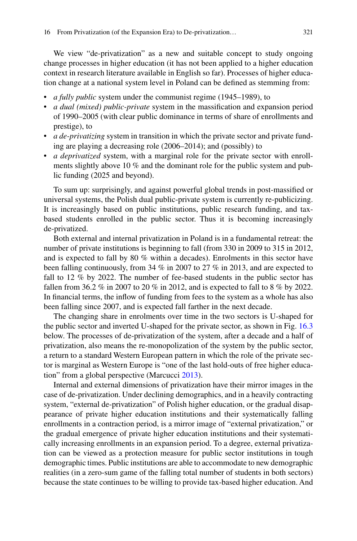We view "de-privatization" as a new and suitable concept to study ongoing change processes in higher education (it has not been applied to a higher education context in research literature available in English so far). Processes of higher education change at a national system level in Poland can be defined as stemming from:

- *a fully public* system under the communist regime (1945–1989), to
- *a dual (mixed) public-private* system in the massification and expansion period of 1990–2005 (with clear public dominance in terms of share of enrollments and prestige), to
- *a de-privatizing* system in transition in which the private sector and private funding are playing a decreasing role (2006–2014); and (possibly) to
- *a deprivatized* system, with a marginal role for the private sector with enrollments slightly above 10 % and the dominant role for the public system and public funding (2025 and beyond).

To sum up: surprisingly, and against powerful global trends in post-massified or universal systems, the Polish dual public-private system is currently re-publicizing. It is increasingly based on public institutions, public research funding, and taxbased students enrolled in the public sector. Thus it is becoming increasingly de-privatized.

 Both external and internal privatization in Poland is in a fundamental retreat: the number of private institutions is beginning to fall (from 330 in 2009 to 315 in 2012, and is expected to fall by 80 % within a decades). Enrolments in this sector have been falling continuously, from 34 % in 2007 to 27 % in 2013, and are expected to fall to 12 % by 2022. The number of fee-based students in the public sector has fallen from 36.2 % in 2007 to 20 % in 2012, and is expected to fall to 8 % by 2022. In financial terms, the inflow of funding from fees to the system as a whole has also been falling since 2007, and is expected fall farther in the next decade.

 The changing share in enrolments over time in the two sectors is U-shaped for the public sector and inverted U-shaped for the private sector, as shown in Fig. 16.3 below. The processes of de-privatization of the system, after a decade and a half of privatization, also means the re-monopolization of the system by the public sector, a return to a standard Western European pattern in which the role of the private sector is marginal as Western Europe is "one of the last hold-outs of free higher education" from a global perspective (Marcucci 2013).

 Internal and external dimensions of privatization have their mirror images in the case of de-privatization. Under declining demographics, and in a heavily contracting system, "external de-privatization" of Polish higher education, or the gradual disappearance of private higher education institutions and their systematically falling enrollments in a contraction period, is a mirror image of "external privatization," or the gradual emergence of private higher education institutions and their systematically increasing enrollments in an expansion period. To a degree, external privatization can be viewed as a protection measure for public sector institutions in tough demographic times. Public institutions are able to accommodate to new demographic realities (in a zero-sum game of the falling total number of students in both sectors) because the state continues to be willing to provide tax-based higher education. And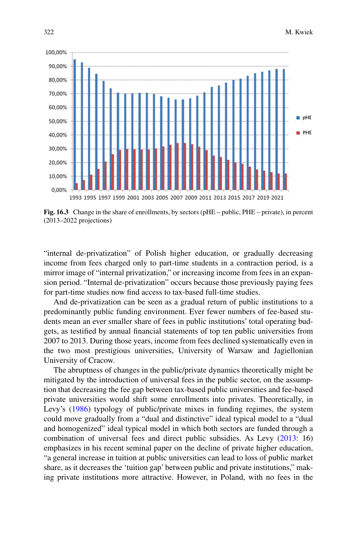

 **Fig. 16.3** Change in the share of enrollments, by sectors (pHE – public, PHE – private), in percent (2013–2022 projections)

"internal de-privatization" of Polish higher education, or gradually decreasing income from fees charged only to part-time students in a contraction period, is a mirror image of "internal privatization," or increasing income from fees in an expansion period. "Internal de-privatization" occurs because those previously paying fees for part-time studies now find access to tax-based full-time studies.

 And de-privatization can be seen as a gradual return of public institutions to a predominantly public funding environment. Ever fewer numbers of fee-based students mean an ever smaller share of fees in public institutions' total operating budgets, as testified by annual financial statements of top ten public universities from 2007 to 2013. During those years, income from fees declined systematically even in the two most prestigious universities, University of Warsaw and Jagiellonian University of Cracow.

 The abruptness of changes in the public/private dynamics theoretically might be mitigated by the introduction of universal fees in the public sector, on the assumption that decreasing the fee gap between tax-based public universities and fee-based private universities would shift some enrollments into privates. Theoretically, in Levy's (1986) typology of public/private mixes in funding regimes, the system could move gradually from a "dual and distinctive" ideal typical model to a "dual and homogenized" ideal typical model in which both sectors are funded through a combination of universal fees and direct public subsidies. As Levy  $(2013: 16)$ emphasizes in his recent seminal paper on the decline of private higher education, "a general increase in tuition at public universities can lead to loss of public market share, as it decreases the 'tuition gap' between public and private institutions," making private institutions more attractive. However, in Poland, with no fees in the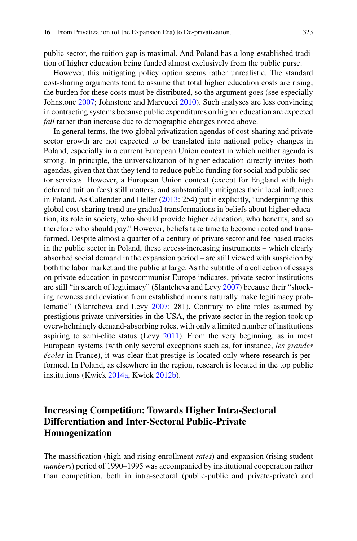public sector, the tuition gap is maximal. And Poland has a long-established tradition of higher education being funded almost exclusively from the public purse.

 However, this mitigating policy option seems rather unrealistic. The standard cost-sharing arguments tend to assume that total higher education costs are rising; the burden for these costs must be distributed, so the argument goes (see especially Johnstone 2007; Johnstone and Marcucci 2010). Such analyses are less convincing in contracting systems because public expenditures on higher education are expected *fall* rather than increase due to demographic changes noted above.

 In general terms, the two global privatization agendas of cost-sharing and private sector growth are not expected to be translated into national policy changes in Poland, especially in a current European Union context in which neither agenda is strong. In principle, the universalization of higher education directly invites both agendas, given that that they tend to reduce public funding for social and public sector services. However, a European Union context (except for England with high deferred tuition fees) still matters, and substantially mitigates their local influence in Poland. As Callender and Heller  $(2013: 254)$  put it explicitly, "underpinning this global cost-sharing trend are gradual transformations in beliefs about higher education, its role in society, who should provide higher education, who benefits, and so therefore who should pay." However, beliefs take time to become rooted and transformed. Despite almost a quarter of a century of private sector and fee-based tracks in the public sector in Poland, these access-increasing instruments – which clearly absorbed social demand in the expansion period – are still viewed with suspicion by both the labor market and the public at large. As the subtitle of a collection of essays on private education in postcommunist Europe indicates, private sector institutions are still "in search of legitimacy" (Slantcheva and Levy 2007 ) because their "shocking newness and deviation from established norms naturally make legitimacy problematic" (Slantcheva and Levy 2007: 281). Contrary to elite roles assumed by prestigious private universities in the USA, the private sector in the region took up overwhelmingly demand-absorbing roles, with only a limited number of institutions aspiring to semi-elite status (Levy  $2011$ ). From the very beginning, as in most European systems (with only several exceptions such as, for instance, *les grandes écoles* in France), it was clear that prestige is located only where research is performed. In Poland, as elsewhere in the region, research is located in the top public institutions (Kwiek  $2014a$ , Kwiek  $2012b$ ).

# **Increasing Competition: Towards Higher Intra-Sectoral Differentiation and Inter-Sectoral Public-Private Homogenization**

The massification (high and rising enrollment *rates*) and expansion (rising student *numbers* ) period of 1990–1995 was accompanied by institutional cooperation rather than competition, both in intra-sectoral (public-public and private-private) and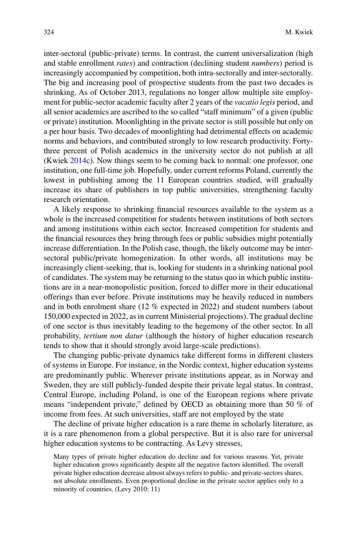inter-sectoral (public-private) terms. In contrast, the current universalization (high and stable enrollment *rates* ) and contraction (declining student *numbers* ) period is increasingly accompanied by competition, both intra-sectorally and inter-sectorally. The big and increasing pool of prospective students from the past two decades is shrinking. As of October 2013, regulations no longer allow multiple site employment for public-sector academic faculty after 2 years of the *vacatio legis* period, and all senior academics are ascribed to the so called "staff minimum" of a given (public or private) institution. Moonlighting in the private sector is still possible but only on a per hour basis. Two decades of moonlighting had detrimental effects on academic norms and behaviors, and contributed strongly to low research productivity. Fortythree percent of Polish academics in the university sector do not publish at all (Kwiek  $2014c$ ). Now things seem to be coming back to normal: one professor, one institution, one full-time job. Hopefully, under current reforms Poland, currently the lowest in publishing among the 11 European countries studied, will gradually increase its share of publishers in top public universities, strengthening faculty research orientation.

A likely response to shrinking financial resources available to the system as a whole is the increased competition for students between institutions of both sectors and among institutions within each sector. Increased competition for students and the financial resources they bring through fees or public subsidies might potentially increase differentiation. In the Polish case, though, the likely outcome may be intersectoral public/private homogenization. In other words, all institutions may be increasingly client-seeking, that is, looking for students in a shrinking national pool of candidates. The system may be returning to the status quo in which public institutions are in a near-monopolistic position, forced to differ more in their educational offerings than ever before. Private institutions may be heavily reduced in numbers and in both enrolment share (12 % expected in 2022) and student numbers (about 150,000 expected in 2022, as in current Ministerial projections). The gradual decline of one sector is thus inevitably leading to the hegemony of the other sector. In all probability, *tertium non datur* (although the history of higher education research tends to show that it should strongly avoid large-scale predictions).

 The changing public-private dynamics take different forms in different clusters of systems in Europe. For instance, in the Nordic context, higher education systems are predominantly public. Wherever private institutions appear, as in Norway and Sweden, they are still publicly-funded despite their private legal status. In contrast, Central Europe, including Poland, is one of the European regions where private means "independent private," defined by OECD as obtaining more than 50  $%$  of income from fees. At such universities, staff are not employed by the state

 The decline of private higher education is a rare theme in scholarly literature, as it is a rare phenomenon from a global perspective. But it is also rare for universal higher education systems to be contracting. As Levy stresses,

 Many types of private higher education do decline and for various reasons. Yet, private higher education grows significantly despite all the negative factors identified. The overall private higher education decrease almost always refers to public- and private-sectors shares, not absolute enrollments. Even proportional decline in the private sector applies only to a minority of countries. (Levy 2010: 11)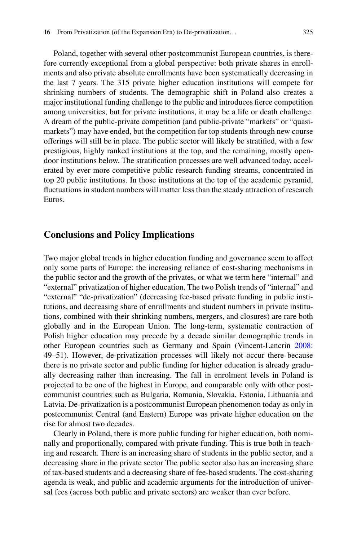Poland, together with several other postcommunist European countries, is therefore currently exceptional from a global perspective: both private shares in enrollments and also private absolute enrollments have been systematically decreasing in the last 7 years. The 315 private higher education institutions will compete for shrinking numbers of students. The demographic shift in Poland also creates a major institutional funding challenge to the public and introduces fierce competition among universities, but for private institutions, it may be a life or death challenge. A dream of the public-private competition (and public-private "markets" or "quasimarkets") may have ended, but the competition for top students through new course offerings will still be in place. The public sector will likely be stratified, with a few prestigious, highly ranked institutions at the top, and the remaining, mostly opendoor institutions below. The stratification processes are well advanced today, accelerated by ever more competitive public research funding streams, concentrated in top 20 public institutions. In those institutions at the top of the academic pyramid, fluctuations in student numbers will matter less than the steady attraction of research Euros.

## **Conclusions and Policy Implications**

 Two major global trends in higher education funding and governance seem to affect only some parts of Europe: the increasing reliance of cost-sharing mechanisms in the public sector and the growth of the privates, or what we term here "internal" and "external" privatization of higher education. The two Polish trends of "internal" and "external" "de-privatization" (decreasing fee-based private funding in public institutions, and decreasing share of enrollments and student numbers in private institutions, combined with their shrinking numbers, mergers, and closures) are rare both globally and in the European Union. The long-term, systematic contraction of Polish higher education may precede by a decade similar demographic trends in other European countries such as Germany and Spain (Vincent-Lancrin 2008 : 49–51). However, de-privatization processes will likely not occur there because there is no private sector and public funding for higher education is already gradually decreasing rather than increasing. The fall in enrolment levels in Poland is projected to be one of the highest in Europe, and comparable only with other postcommunist countries such as Bulgaria, Romania, Slovakia, Estonia, Lithuania and Latvia. De-privatization is a postcommunist European phenomenon today as only in postcommunist Central (and Eastern) Europe was private higher education on the rise for almost two decades.

 Clearly in Poland, there is more public funding for higher education, both nominally and proportionally, compared with private funding. This is true both in teaching and research. There is an increasing share of students in the public sector, and a decreasing share in the private sector The public sector also has an increasing share of tax-based students and a decreasing share of fee-based students. The cost-sharing agenda is weak, and public and academic arguments for the introduction of universal fees (across both public and private sectors) are weaker than ever before.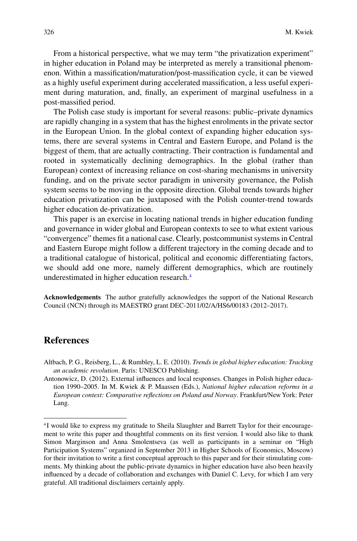From a historical perspective, what we may term "the privatization experiment" in higher education in Poland may be interpreted as merely a transitional phenomenon. Within a massification/maturation/post-massification cycle, it can be viewed as a highly useful experiment during accelerated massification, a less useful experiment during maturation, and, finally, an experiment of marginal usefulness in a post-massified period.

 The Polish case study is important for several reasons: public–private dynamics are rapidly changing in a system that has the highest enrolments in the private sector in the European Union. In the global context of expanding higher education systems, there are several systems in Central and Eastern Europe, and Poland is the biggest of them, that are actually contracting. Their contraction is fundamental and rooted in systematically declining demographics. In the global (rather than European) context of increasing reliance on cost-sharing mechanisms in university funding, and on the private sector paradigm in university governance, the Polish system seems to be moving in the opposite direction. Global trends towards higher education privatization can be juxtaposed with the Polish counter-trend towards higher education de-privatization.

 This paper is an exercise in locating national trends in higher education funding and governance in wider global and European contexts to see to what extent various "convergence" themes fit a national case. Clearly, postcommunist systems in Central and Eastern Europe might follow a different trajectory in the coming decade and to a traditional catalogue of historical, political and economic differentiating factors, we should add one more, namely different demographics, which are routinely underestimated in higher education research. 4

 **Acknowledgements** The author gratefully acknowledges the support of the National Research Council (NCN) through its MAESTRO grant DEC-2011/02/A/HS6/00183 (2012–2017).

### **References**

 Altbach, P. G., Reisberg, L., & Rumbley, L. E. (2010). *Trends in global higher education: Tracking an academic revolution* . Paris: UNESCO Publishing.

Antonowicz, D. (2012). External influences and local responses. Changes in Polish higher education 1990–2005. In M. Kwiek & P. Maassen (Eds.), *National higher education reforms in a European context: Comparative refl ections on Poland and Norway* . Frankfurt/New York: Peter Lang.

<sup>4</sup> I would like to express my gratitude to Sheila Slaughter and Barrett Taylor for their encouragement to write this paper and thoughtful comments on its first version. I would also like to thank Simon Marginson and Anna Smolentseva (as well as participants in a seminar on "High Participation Systems" organized in September 2013 in Higher Schools of Economics, Moscow) for their invitation to write a first conceptual approach to this paper and for their stimulating comments. My thinking about the public-private dynamics in higher education have also been heavily influenced by a decade of collaboration and exchanges with Daniel C. Levy, for which I am very grateful. All traditional disclaimers certainly apply.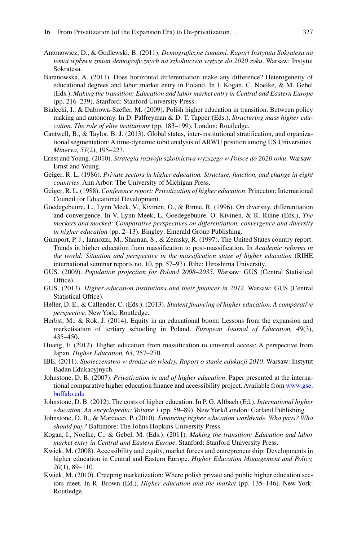- Antonowicz, D., & Godlewski, B. (2011). *Demografi czne tsunami. Raport Instytutu Sokratesa na temat wpływu zmian demografi cznych na szkolnictwo wyższe do 2020 roku* . Warsaw: Instytut Sokratesa.
- Baranowska, A. (2011). Does horizontal differentiation make any difference? Heterogeneity of educational degrees and labor market entry in Poland. In I. Kogan, C. Noelke, & M. Gebel (Eds.), *Making the transition: Education and labor market entry in Central and Eastern Europe* (pp. 216–239). Stanford: Stanford University Press.
- Bialecki, I., & Dabrowa-Szefler, M. (2009). Polish higher education in transition. Between policy making and autonomy. In D. Palfreyman & D. T. Tapper (Eds.), *Structuring mass higher education. The role of elite institutions* (pp. 183–199). London: Routledge.
- Cantwell, B., & Taylor, B. J. (2013). Global status, inter-institutional stratification, and organizational segmentation: A time-dynamic tobit analysis of ARWU position among US Universities. *Minerva, 51(2), 195-223.*
- Ernst and Young. (2010). *Strategia rozwoju szkolnictwa wyzszego w Polsce do 2020 roku* . Warsaw: Ernst and Young.
- Geiger, R. L. (1986). *Private sectors in higher education. Structure, function, and change in eight countries* . Ann Arbor: The University of Michigan Press.
- Geiger, R. L. (1988). *Conference report: Privatization of higher education* . Princeton: International Council for Educational Development.
- Goedegebuure, L., Lynn Meek, V., Kivinen, O., & Rinne, R. (1996). On diversity, differentiation and convergence. In V. Lynn Meek, L. Goedegebuure, O. Kivinen, & R. Rinne (Eds.), *The mockers and mocked: Comparative perspectives on differentiation, convergence and diversity in higher education* (pp. 2–13). Bingley: Emerald Group Publishing.
- Gumport, P. J., Iannozzi, M., Shaman, S., & Zemsky, R. (1997). The United States country report: Trends in higher education from massification to post-massification. In *Academic reforms in the world: Situation and perspective in the massification stage of higher education* (RIHE international seminar reports no. 10, pp. 57–93). Rihe: Hiroshima University.
- GUS. (2009). *Population projection for Poland 2008–2035* . Warsaw: GUS (Central Statistical Office).
- GUS. (2013). *Higher education institutions and their finances in 2012*. Warsaw: GUS (Central Statistical Office).
- Heller, D. E., & Callender, C. (Eds.). (2013). *Student financing of higher education. A comparative perspective*. New York: Routledge.
- Herbst, M., & Rok, J. (2014). Equity in an educational boom: Lessons from the expansion and marketisation of tertiary schooling in Poland. *European Journal of Education*, 49(3), 435–450.
- Huang, F. (2012). Higher education from massification to universal access: A perspective from Japan. *Higher Education, 63* , 257–270.
- IBE. (2011). *Spoleczenstwo w drodze do wiedzy. Raport o stanie edukacji 2010* . Warsaw: Instytut Badan Edukacyjnych.
- Johnstone, D. B. (2007). *Privatization in and of higher education* . Paper presented at the international comparative higher education finance and accessibility project. Available from [www.gse.](http://www.gse.buffalo.edu/) [buffalo.edu](http://www.gse.buffalo.edu/)
- Johnstone, D. B. (2012). The costs of higher education. In P. G. Altbach (Ed.), *International higher education. An encyclopedia: Volume 1* (pp. 59–89). New York/London: Garland Publishing.
- Johnstone, D. B., & Marcucci, P. (2010). *Financing higher education worldwide. Who pays? Who should pay?* Baltimore: The Johns Hopkins University Press.
- Kogan, I., Noelke, C., & Gebel, M. (Eds.). (2011). *Making the transition: Education and labor market entry in Central and Eastern Europe* . Stanford: Stanford University Press.
- Kwiek, M. (2008). Accessibility and equity, market forces and entrepreneurship: Developments in higher education in Central and Eastern Europe. *Higher Education Management and Policy, 20* (1), 89–110.
- Kwiek, M. (2010). Creeping marketization: Where polish private and public higher education sectors meet. In R. Brown (Ed.), *Higher education and the market* (pp. 135–146). New York: Routledge.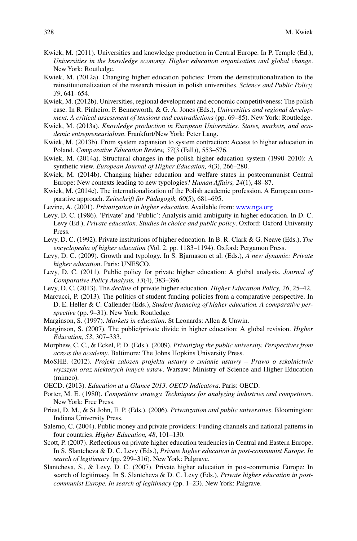- Kwiek, M. (2011). Universities and knowledge production in Central Europe. In P. Temple (Ed.), *Universities in the knowledge economy. Higher education organisation and global change* . New York: Routledge.
- Kwiek, M. (2012a). Changing higher education policies: From the deinstitutionalization to the reinstitutionalization of the research mission in polish universities. *Science and Public Policy, 39* , 641–654.
- Kwiek, M. (2012b). Universities, regional development and economic competitiveness: The polish case. In R. Pinheiro, P. Benneworth, & G. A. Jones (Eds.), *Universities and regional development. A critical assessment of tensions and contradictions* (pp. 69–85). New York: Routledge.
- Kwiek, M. (2013a). *Knowledge production in European Universities. States, markets, and academic entrepreneurialism* . Frankfurt/New York: Peter Lang.
- Kwiek, M. (2013b). From system expansion to system contraction: Access to higher education in Poland. *Comparative Education Review, 57(3 (Fall)), 553-576.*
- Kwiek, M. (2014a). Structural changes in the polish higher education system (1990–2010): A synthetic view. *European Journal of Higher Education*, 4(3), 266-280.
- Kwiek, M. (2014b). Changing higher education and welfare states in postcommunist Central Europe: New contexts leading to new typologies? *Human Affairs, 24* (1), 48–87.
- Kwiek, M. (2014c). The internationalization of the Polish academic profession. A European comparative approach. Zeitschrift für Pädagogik, 60(5), 681–695.
- Levine, A. (2001). *Privatization in higher education* . Available from: [www.nga.org](http://www.nga.org/)
- Levy, D. C. (1986). 'Private' and 'Public': Analysis amid ambiguity in higher education. In D. C. Levy (Ed.), *Private education. Studies in choice and public policy* . Oxford: Oxford University Press.
- Levy, D. C. (1992). Private institutions of higher education. In B. R. Clark & G. Neave (Eds.), *The encyclopedia of higher education* (Vol. 2, pp. 1183–1194). Oxford: Pergamon Press.
- Levy, D. C. (2009). Growth and typology. In S. Bjarnason et al. (Eds.), *A new dynamic: Private higher education* . Paris: UNESCO.
- Levy, D. C. (2011). Public policy for private higher education: A global analysis. *Journal of Comparative Policy Analysis, 13* (4), 383–396.
- Levy, D. C. (2013). The *decline* of private higher education. *Higher Education Policy, 26* , 25–42.
- Marcucci, P. (2013). The politics of student funding policies from a comparative perspective. In D. E. Heller & C. Callender (Eds.), *Student financing of higher education. A comparative perspective* (pp. 9–31). New York: Routledge.
- Marginson, S. (1997). *Markets in education* . St Leonards: Allen & Unwin.
- Marginson, S. (2007). The public/private divide in higher education: A global revision. *Higher Education, 53* , 307–333.
- Morphew, C. C., & Eckel, P. D. (Eds.). (2009). *Privatizing the public university. Perspectives from across the academy* . Baltimore: The Johns Hopkins University Press.
- MoSHE. (2012). *Projekt zalozen projektu ustawy o zmianie ustawy Prawo o szkolnictwie wyzszym oraz niektorych innych ustaw* . Warsaw: Ministry of Science and Higher Education (mimeo).
- OECD. (2013). *Education at a Glance 2013. OECD Indicatora* . Paris: OECD.
- Porter, M. E. (1980). *Competitive strategy. Techniques for analyzing industries and competitors* . New York: Free Press.
- Priest, D. M., & St John, E. P. (Eds.). (2006). *Privatization and public universities* . Bloomington: Indiana University Press.
- Salerno, C. (2004). Public money and private providers: Funding channels and national patterns in four countries. *Higher Education, 48* , 101–130.
- Scott, P. (2007). Reflections on private higher education tendencies in Central and Eastern Europe. In S. Slantcheva & D. C. Levy (Eds.), *Private higher education in post-communist Europe. In search of legitimacy* (pp. 299–316). New York: Palgrave.
- Slantcheva, S., & Levy, D. C. (2007). Private higher education in post-communist Europe: In search of legitimacy. In S. Slantcheva & D. C. Levy (Eds.), *Private higher education in postcommunist Europe. In search of legitimacy* (pp. 1–23). New York: Palgrave.